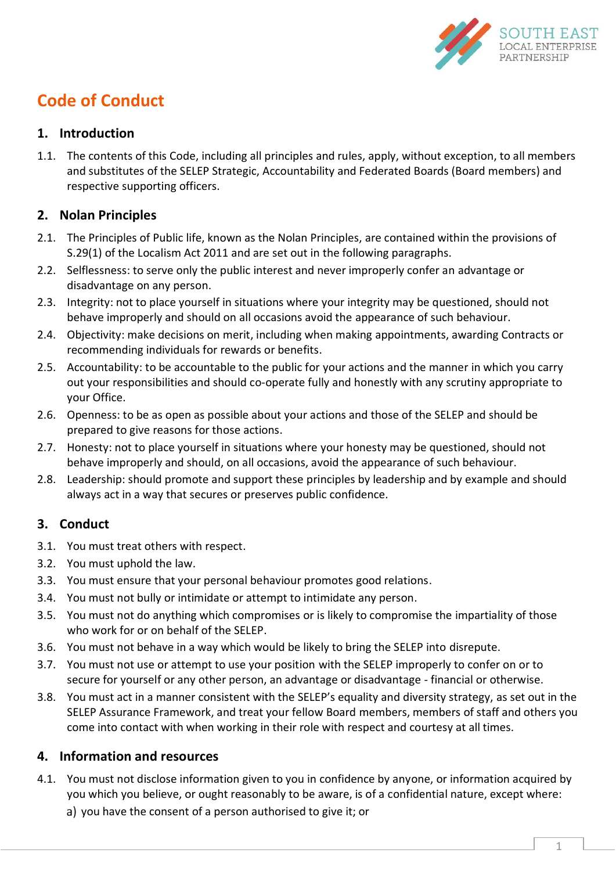

# **Code of Conduct**

#### **1. Introduction**

1.1. The contents of this Code, including all principles and rules, apply, without exception, to all members and substitutes of the SELEP Strategic, Accountability and Federated Boards (Board members) and respective supporting officers.

#### **2. Nolan Principles**

- 2.1. The Principles of Public life, known as the Nolan Principles, are contained within the provisions of S.29(1) of the Localism Act 2011 and are set out in the following paragraphs.
- 2.2. Selflessness: to serve only the public interest and never improperly confer an advantage or disadvantage on any person.
- 2.3. Integrity: not to place yourself in situations where your integrity may be questioned, should not behave improperly and should on all occasions avoid the appearance of such behaviour.
- 2.4. Objectivity: make decisions on merit, including when making appointments, awarding Contracts or recommending individuals for rewards or benefits.
- 2.5. Accountability: to be accountable to the public for your actions and the manner in which you carry out your responsibilities and should co-operate fully and honestly with any scrutiny appropriate to your Office.
- 2.6. Openness: to be as open as possible about your actions and those of the SELEP and should be prepared to give reasons for those actions.
- 2.7. Honesty: not to place yourself in situations where your honesty may be questioned, should not behave improperly and should, on all occasions, avoid the appearance of such behaviour.
- 2.8. Leadership: should promote and support these principles by leadership and by example and should always act in a way that secures or preserves public confidence.

## **3. Conduct**

- 3.1. You must treat others with respect.
- 3.2. You must uphold the law.
- 3.3. You must ensure that your personal behaviour promotes good relations.
- 3.4. You must not bully or intimidate or attempt to intimidate any person.
- 3.5. You must not do anything which compromises or is likely to compromise the impartiality of those who work for or on behalf of the SELEP.
- 3.6. You must not behave in a way which would be likely to bring the SELEP into disrepute.
- 3.7. You must not use or attempt to use your position with the SELEP improperly to confer on or to secure for yourself or any other person, an advantage or disadvantage - financial or otherwise.
- 3.8. You must act in a manner consistent with the SELEP's equality and diversity strategy, as set out in the SELEP Assurance Framework, and treat your fellow Board members, members of staff and others you come into contact with when working in their role with respect and courtesy at all times.

## **4. Information and resources**

- 4.1. You must not disclose information given to you in confidence by anyone, or information acquired by you which you believe, or ought reasonably to be aware, is of a confidential nature, except where:
	- a) you have the consent of a person authorised to give it; or